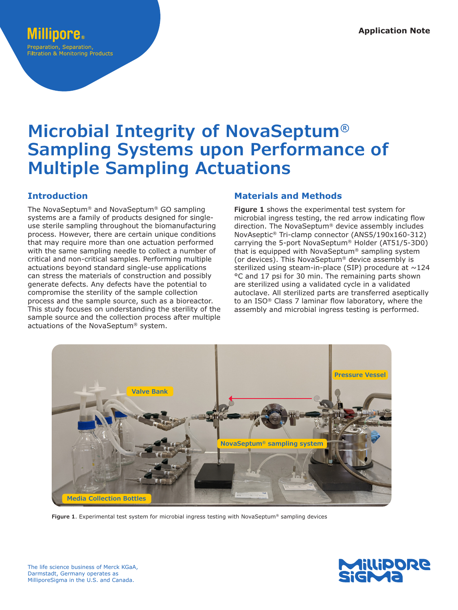# reparation, Separation **Filtration & Monitoring Products**

# **Microbial Integrity of NovaSeptum® Sampling Systems upon Performance of Multiple Sampling Actuations**

# **Introduction**

The NovaSeptum® and NovaSeptum® GO sampling systems are a family of products designed for singleuse sterile sampling throughout the biomanufacturing process. However, there are certain unique conditions that may require more than one actuation performed with the same sampling needle to collect a number of critical and non-critical samples. Performing multiple actuations beyond standard single-use applications can stress the materials of construction and possibly generate defects. Any defects have the potential to compromise the sterility of the sample collection process and the sample source, such as a bioreactor. This study focuses on understanding the sterility of the sample source and the collection process after multiple actuations of the NovaSeptum® system.

# **Materials and Methods**

**Figure 1** shows the experimental test system for microbial ingress testing, the red arrow indicating flow direction. The NovaSeptum® device assembly includes NovAseptic® Tri-clamp connector (ANS5/190x160-312) carrying the 5-port NovaSeptum® Holder (AT51/5-3D0) that is equipped with NovaSeptum® sampling system (or devices). This NovaSeptum® device assembly is sterilized using steam-in-place (SIP) procedure at  $\sim$ 124 °C and 17 psi for 30 min. The remaining parts shown are sterilized using a validated cycle in a validated autoclave. All sterilized parts are transferred aseptically to an ISO® Class 7 laminar flow laboratory, where the assembly and microbial ingress testing is performed.



**Figure 1**. Experimental test system for microbial ingress testing with NovaSeptum® sampling devices

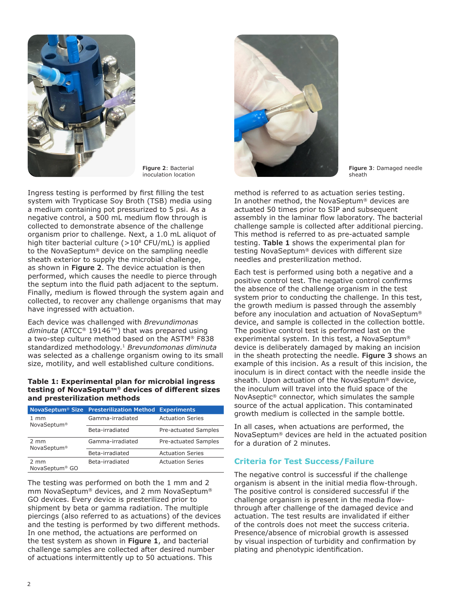

**Figure 2**: Bacterial inoculation location

Ingress testing is performed by first filling the test system with Trypticase Soy Broth (TSB) media using a medium containing pot pressurized to 5 psi. As a negative control, a 500 mL medium flow through is collected to demonstrate absence of the challenge organism prior to challenge. Next, a 1.0 mL aliquot of high titer bacterial culture ( $>10^8$  CFU/mL) is applied to the NovaSeptum® device on the sampling needle sheath exterior to supply the microbial challenge, as shown in **Figure 2**. The device actuation is then performed, which causes the needle to pierce through the septum into the fluid path adjacent to the septum. Finally, medium is flowed through the system again and collected, to recover any challenge organisms that may have ingressed with actuation.

Each device was challenged with *Brevundimonas diminuta* (ATCC® 19146™) that was prepared using a two-step culture method based on the ASTM® F838 standardized methodology.1 *Brevundomonas diminuta* was selected as a challenge organism owing to its small size, motility, and well established culture conditions.

#### **Table 1: Experimental plan for microbial ingress testing of NovaSeptum® devices of different sizes and presterilization methods**

|                                           | NovaSeptum <sup>®</sup> Size Presterilization Method | <b>Experiments</b>      |  |  |
|-------------------------------------------|------------------------------------------------------|-------------------------|--|--|
| $1 \text{ mm}$<br>NovaSeptum <sup>®</sup> | Gamma-irradiated                                     | <b>Actuation Series</b> |  |  |
|                                           | Beta-irradiated                                      | Pre-actuated Samples    |  |  |
| 2 mm<br>NovaSeptum <sup>®</sup>           | Gamma-irradiated                                     | Pre-actuated Samples    |  |  |
|                                           | Beta-irradiated                                      | <b>Actuation Series</b> |  |  |
| 2 mm<br>NovaSeptum <sup>®</sup> GO        | Beta-irradiated                                      | <b>Actuation Series</b> |  |  |

The testing was performed on both the 1 mm and 2 mm NovaSeptum® devices, and 2 mm NovaSeptum® GO devices. Every device is presterilized prior to shipment by beta or gamma radiation. The multiple piercings (also referred to as actuations) of the devices and the testing is performed by two different methods. In one method, the actuations are performed on the test system as shown in **Figure 1**, and bacterial challenge samples are collected after desired number of actuations intermittently up to 50 actuations. This



**Figure 3**: Damaged needle sheath

method is referred to as actuation series testing. In another method, the NovaSeptum® devices are actuated 50 times prior to SIP and subsequent assembly in the laminar flow laboratory. The bacterial challenge sample is collected after additional piercing. This method is referred to as pre-actuated sample testing. **Table 1** shows the experimental plan for testing NovaSeptum® devices with different size needles and presterilization method.

Each test is performed using both a negative and a positive control test. The negative control confirms the absence of the challenge organism in the test system prior to conducting the challenge. In this test, the growth medium is passed through the assembly before any inoculation and actuation of NovaSeptum® device, and sample is collected in the collection bottle. The positive control test is performed last on the experimental system. In this test, a NovaSeptum® device is deliberately damaged by making an incision in the sheath protecting the needle. **Figure 3** shows an example of this incision. As a result of this incision, the inoculum is in direct contact with the needle inside the sheath. Upon actuation of the NovaSeptum® device, the inoculum will travel into the fluid space of the NovAseptic® connector, which simulates the sample source of the actual application. This contaminated growth medium is collected in the sample bottle.

In all cases, when actuations are performed, the NovaSeptum® devices are held in the actuated position for a duration of 2 minutes.

## **Criteria for Test Success/Failure**

The negative control is successful if the challenge organism is absent in the initial media flow-through. The positive control is considered successful if the challenge organism is present in the media flowthrough after challenge of the damaged device and actuation. The test results are invalidated if either of the controls does not meet the success criteria. Presence/absence of microbial growth is assessed by visual inspection of turbidity and confirmation by plating and phenotypic identification.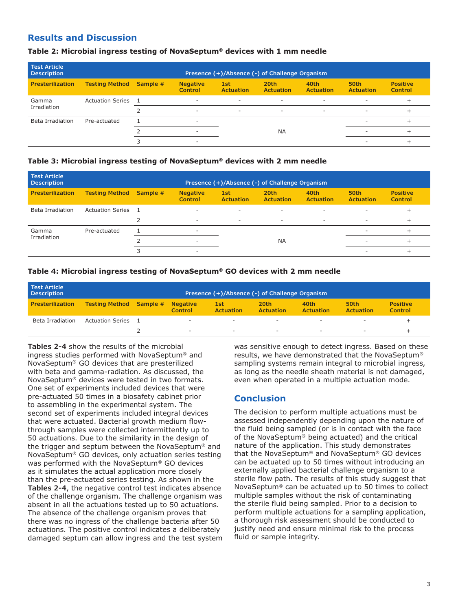# **Results and Discussion**

#### **Table 2: Microbial ingress testing of NovaSeptum® devices with 1 mm needle**

| <b>Test Article</b><br><b>Description</b> |                         | Presence (+)/Absence (-) of Challenge Organism |                                   |                          |                          |                          |                          |                                   |
|-------------------------------------------|-------------------------|------------------------------------------------|-----------------------------------|--------------------------|--------------------------|--------------------------|--------------------------|-----------------------------------|
| <b>Presterilization</b>                   | <b>Testing Method</b>   | Sample #                                       | <b>Negative</b><br><b>Control</b> | 1st<br><b>Actuation</b>  | 20th<br><b>Actuation</b> | 40th<br><b>Actuation</b> | 50th<br><b>Actuation</b> | <b>Positive</b><br><b>Control</b> |
| Gamma<br>Irradiation                      | <b>Actuation Series</b> |                                                | $\overline{\phantom{a}}$          | $\overline{\phantom{a}}$ | ٠                        | ۰                        | ۰                        |                                   |
|                                           |                         |                                                | ۰                                 | ۰                        | ۰                        | ۰                        | ۰                        |                                   |
| Beta Irradiation                          | Pre-actuated            |                                                | ۰                                 |                          |                          |                          | $\overline{\phantom{a}}$ |                                   |
|                                           |                         |                                                | -                                 |                          | <b>NA</b>                |                          |                          |                                   |
|                                           |                         |                                                | $\overline{\phantom{a}}$          |                          |                          |                          |                          |                                   |

#### **Table 3: Microbial ingress testing of NovaSeptum® devices with 2 mm needle**

| <b>Test Article</b><br><b>Description</b> |                         | Presence (+)/Absence (-) of Challenge Organism |                                   |                          |                          |                          |                          |                                   |
|-------------------------------------------|-------------------------|------------------------------------------------|-----------------------------------|--------------------------|--------------------------|--------------------------|--------------------------|-----------------------------------|
| <b>Presterilization</b>                   | <b>Testing Method</b>   | Sample #                                       | <b>Negative</b><br><b>Control</b> | 1st<br><b>Actuation</b>  | 20th<br><b>Actuation</b> | 40th<br><b>Actuation</b> | 50th<br><b>Actuation</b> | <b>Positive</b><br><b>Control</b> |
| Beta Irradiation                          | <b>Actuation Series</b> |                                                | $\overline{\phantom{a}}$          | $\overline{\phantom{a}}$ | ۰                        | ۰                        | ۰                        |                                   |
|                                           |                         |                                                | $\overline{\phantom{a}}$          | $\overline{\phantom{a}}$ | ۰                        | $\sim$                   | ۰.                       |                                   |
| Gamma<br>Irradiation                      | Pre-actuated            |                                                | ۰                                 |                          |                          |                          | ۰                        |                                   |
|                                           |                         |                                                |                                   | <b>NA</b>                |                          | ۰.                       |                          |                                   |
|                                           |                         |                                                | ۰                                 |                          |                          |                          |                          |                                   |

#### **Table 4: Microbial ingress testing of NovaSeptum® GO devices with 2 mm needle**

| <b>Test Article</b><br><b>Description</b> |                         | Presence (+)/Absence (-) of Challenge Organism |                                   |                         |                                      |                   |                          |                                   |
|-------------------------------------------|-------------------------|------------------------------------------------|-----------------------------------|-------------------------|--------------------------------------|-------------------|--------------------------|-----------------------------------|
| <b>Presterilization</b>                   | <b>Testing Method</b>   | Sample #                                       | <b>Negative</b><br><b>Control</b> | 1st<br><b>Actuation</b> | 20 <sub>th</sub><br><b>Actuation</b> | 40th<br>Actuation | 50th<br><b>Actuation</b> | <b>Positive</b><br><b>Control</b> |
| Beta Irradiation                          | <b>Actuation Series</b> |                                                | $\overline{\phantom{a}}$          | $\sim$                  | $\overline{\phantom{a}}$             | $\sim$            | $\sim$                   |                                   |
|                                           |                         |                                                | -                                 | $\sim$                  | $\sim$                               | $\sim$            | -                        |                                   |

**Tables 2-4** show the results of the microbial ingress studies performed with NovaSeptum® and NovaSeptum® GO devices that are presterilized with beta and gamma-radiation. As discussed, the NovaSeptum® devices were tested in two formats. One set of experiments included devices that were pre-actuated 50 times in a biosafety cabinet prior to assembling in the experimental system. The second set of experiments included integral devices that were actuated. Bacterial growth medium flowthrough samples were collected intermittently up to 50 actuations. Due to the similarity in the design of the trigger and septum between the NovaSeptum® and NovaSeptum® GO devices, only actuation series testing was performed with the NovaSeptum® GO devices as it simulates the actual application more closely than the pre-actuated series testing. As shown in the **Tables 2-4**, the negative control test indicates absence of the challenge organism. The challenge organism was absent in all the actuations tested up to 50 actuations. The absence of the challenge organism proves that there was no ingress of the challenge bacteria after 50 actuations. The positive control indicates a deliberately damaged septum can allow ingress and the test system was sensitive enough to detect ingress. Based on these results, we have demonstrated that the NovaSeptum® sampling systems remain integral to microbial ingress, as long as the needle sheath material is not damaged, even when operated in a multiple actuation mode.

## **Conclusion**

The decision to perform multiple actuations must be assessed independently depending upon the nature of the fluid being sampled (or is in contact with the face of the NovaSeptum® being actuated) and the critical nature of the application. This study demonstrates that the NovaSeptum® and NovaSeptum® GO devices can be actuated up to 50 times without introducing an externally applied bacterial challenge organism to a sterile flow path. The results of this study suggest that NovaSeptum® can be actuated up to 50 times to collect multiple samples without the risk of contaminating the sterile fluid being sampled. Prior to a decision to perform multiple actuations for a sampling application, a thorough risk assessment should be conducted to justify need and ensure minimal risk to the process fluid or sample integrity.